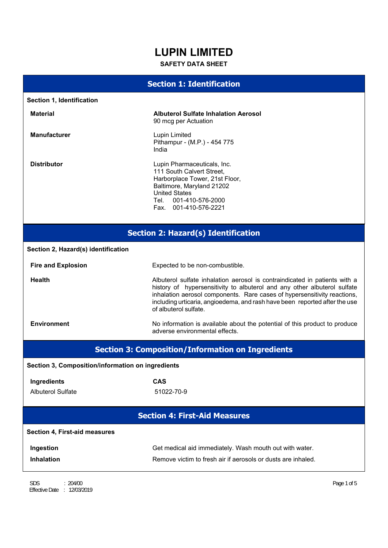# **LUPIN LIMITED**

# **SAFETY DATA SHEET**

# **Section 1: Identification**

|                                                   | <u>CHOILET THOILEHEMENTI</u>                                                                                                                                                                                                                                                                                                              |  |  |  |
|---------------------------------------------------|-------------------------------------------------------------------------------------------------------------------------------------------------------------------------------------------------------------------------------------------------------------------------------------------------------------------------------------------|--|--|--|
| Section 1, Identification                         |                                                                                                                                                                                                                                                                                                                                           |  |  |  |
| <b>Material</b>                                   | <b>Albuterol Sulfate Inhalation Aerosol</b><br>90 mcg per Actuation                                                                                                                                                                                                                                                                       |  |  |  |
| <b>Manufacturer</b>                               | <b>Lupin Limited</b><br>Pithampur - (M.P.) - 454 775<br>India                                                                                                                                                                                                                                                                             |  |  |  |
| <b>Distributor</b>                                | Lupin Pharmaceuticals, Inc.<br>111 South Calvert Street.<br>Harborplace Tower, 21st Floor,<br>Baltimore, Maryland 21202<br><b>United States</b><br>Tel. 001-410-576-2000<br>Fax. 001-410-576-2221                                                                                                                                         |  |  |  |
| <b>Section 2: Hazard(s) Identification</b>        |                                                                                                                                                                                                                                                                                                                                           |  |  |  |
| Section 2, Hazard(s) identification               |                                                                                                                                                                                                                                                                                                                                           |  |  |  |
| <b>Fire and Explosion</b>                         | Expected to be non-combustible.                                                                                                                                                                                                                                                                                                           |  |  |  |
| <b>Health</b>                                     | Albuterol sulfate inhalation aerosol is contraindicated in patients with a<br>history of hypersensitivity to albuterol and any other albuterol sulfate<br>inhalation aerosol components. Rare cases of hypersensitivity reactions,<br>including urticaria, angioedema, and rash have been reported after the use<br>of albuterol sulfate. |  |  |  |
| <b>Environment</b>                                | No information is available about the potential of this product to produce<br>adverse environmental effects.                                                                                                                                                                                                                              |  |  |  |
|                                                   | <b>Section 3: Composition/Information on Ingredients</b>                                                                                                                                                                                                                                                                                  |  |  |  |
| Section 3, Composition/information on ingredients |                                                                                                                                                                                                                                                                                                                                           |  |  |  |
| Ingredients                                       | <b>CAS</b>                                                                                                                                                                                                                                                                                                                                |  |  |  |
| <b>Albuterol Sulfate</b>                          | 51022-70-9                                                                                                                                                                                                                                                                                                                                |  |  |  |
|                                                   | <b>Section 4: First-Aid Measures</b>                                                                                                                                                                                                                                                                                                      |  |  |  |
| <b>Section 4, First-aid measures</b>              |                                                                                                                                                                                                                                                                                                                                           |  |  |  |
| Ingestion                                         | Get medical aid immediately. Wash mouth out with water.                                                                                                                                                                                                                                                                                   |  |  |  |
| <b>Inhalation</b>                                 | Remove victim to fresh air if aerosols or dusts are inhaled.                                                                                                                                                                                                                                                                              |  |  |  |
|                                                   |                                                                                                                                                                                                                                                                                                                                           |  |  |  |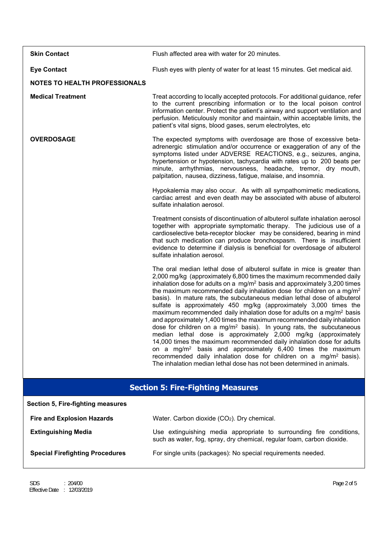| <b>Skin Contact</b>                      | Flush affected area with water for 20 minutes.                                                                                                                                                                                                                                                                                                                                                                                                                                                                                                                                                                                                                                                                                                                                                                                                                                                                                                                                                                                                                                                                      |  |  |
|------------------------------------------|---------------------------------------------------------------------------------------------------------------------------------------------------------------------------------------------------------------------------------------------------------------------------------------------------------------------------------------------------------------------------------------------------------------------------------------------------------------------------------------------------------------------------------------------------------------------------------------------------------------------------------------------------------------------------------------------------------------------------------------------------------------------------------------------------------------------------------------------------------------------------------------------------------------------------------------------------------------------------------------------------------------------------------------------------------------------------------------------------------------------|--|--|
| <b>Eye Contact</b>                       | Flush eyes with plenty of water for at least 15 minutes. Get medical aid.                                                                                                                                                                                                                                                                                                                                                                                                                                                                                                                                                                                                                                                                                                                                                                                                                                                                                                                                                                                                                                           |  |  |
| <b>NOTES TO HEALTH PROFESSIONALS</b>     |                                                                                                                                                                                                                                                                                                                                                                                                                                                                                                                                                                                                                                                                                                                                                                                                                                                                                                                                                                                                                                                                                                                     |  |  |
| <b>Medical Treatment</b>                 | Treat according to locally accepted protocols. For additional guidance, refer<br>to the current prescribing information or to the local poison control<br>information center. Protect the patient's airway and support ventilation and<br>perfusion. Meticulously monitor and maintain, within acceptable limits, the<br>patient's vital signs, blood gases, serum electrolytes, etc                                                                                                                                                                                                                                                                                                                                                                                                                                                                                                                                                                                                                                                                                                                                |  |  |
| <b>OVERDOSAGE</b>                        | The expected symptoms with overdosage are those of excessive beta-<br>adrenergic stimulation and/or occurrence or exaggeration of any of the<br>symptoms listed under ADVERSE REACTIONS, e.g., seizures, angina,<br>hypertension or hypotension, tachycardia with rates up to 200 beats per<br>minute, arrhythmias, nervousness, headache, tremor, dry mouth,<br>palpitation, nausea, dizziness, fatigue, malaise, and insomnia.                                                                                                                                                                                                                                                                                                                                                                                                                                                                                                                                                                                                                                                                                    |  |  |
|                                          | Hypokalemia may also occur. As with all sympathomimetic medications,<br>cardiac arrest and even death may be associated with abuse of albuterol<br>sulfate inhalation aerosol.                                                                                                                                                                                                                                                                                                                                                                                                                                                                                                                                                                                                                                                                                                                                                                                                                                                                                                                                      |  |  |
|                                          | Treatment consists of discontinuation of albuterol sulfate inhalation aerosol<br>together with appropriate symptomatic therapy. The judicious use of a<br>cardioselective beta-receptor blocker may be considered, bearing in mind<br>that such medication can produce bronchospasm. There is insufficient<br>evidence to determine if dialysis is beneficial for overdosage of albuterol<br>sulfate inhalation aerosol.                                                                                                                                                                                                                                                                                                                                                                                                                                                                                                                                                                                                                                                                                            |  |  |
|                                          | The oral median lethal dose of albuterol sulfate in mice is greater than<br>2,000 mg/kg (approximately 6,800 times the maximum recommended daily<br>inhalation dose for adults on a mg/m <sup>2</sup> basis and approximately 3,200 times<br>the maximum recommended daily inhalation dose for children on a mg/m <sup>2</sup><br>basis). In mature rats, the subcutaneous median lethal dose of albuterol<br>sulfate is approximately 450 mg/kg (approximately 3,000 times the<br>maximum recommended daily inhalation dose for adults on a mg/m <sup>2</sup> basis<br>and approximately 1,400 times the maximum recommended daily inhalation<br>dose for children on a mg/m <sup>2</sup> basis). In young rats, the subcutaneous<br>median lethal dose is approximately 2,000 mg/kg (approximately<br>14,000 times the maximum recommended daily inhalation dose for adults<br>on a mg/m <sup>2</sup> basis and approximately $6,400$ times the maximum<br>recommended daily inhalation dose for children on a mg/m <sup>2</sup> basis).<br>The inhalation median lethal dose has not been determined in animals. |  |  |
| <b>Section 5: Fire-Fighting Measures</b> |                                                                                                                                                                                                                                                                                                                                                                                                                                                                                                                                                                                                                                                                                                                                                                                                                                                                                                                                                                                                                                                                                                                     |  |  |

| <b>Fire and Explosion Hazards</b>      | Water. Carbon dioxide (CO <sub>2</sub> ). Dry chemical.                                                                                       |  |
|----------------------------------------|-----------------------------------------------------------------------------------------------------------------------------------------------|--|
| <b>Extinguishing Media</b>             | Use extinguishing media appropriate to surrounding fire conditions,<br>such as water, fog, spray, dry chemical, regular foam, carbon dioxide. |  |
| <b>Special Firefighting Procedures</b> | For single units (packages): No special requirements needed.                                                                                  |  |

**Section 5, Fire-fighting measures**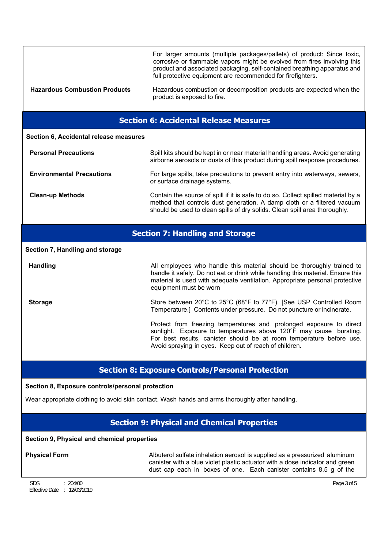| <b>Hazardous Combustion Products</b>          | For larger amounts (multiple packages/pallets) of product: Since toxic,<br>corrosive or flammable vapors might be evolved from fires involving this<br>product and associated packaging, self-contained breathing apparatus and<br>full protective equipment are recommended for firefighters.<br>Hazardous combustion or decomposition products are expected when the<br>product is exposed to fire. |  |  |  |
|-----------------------------------------------|-------------------------------------------------------------------------------------------------------------------------------------------------------------------------------------------------------------------------------------------------------------------------------------------------------------------------------------------------------------------------------------------------------|--|--|--|
| <b>Section 6: Accidental Release Measures</b> |                                                                                                                                                                                                                                                                                                                                                                                                       |  |  |  |
| Section 6, Accidental release measures        |                                                                                                                                                                                                                                                                                                                                                                                                       |  |  |  |
| <b>Personal Precautions</b>                   | Spill kits should be kept in or near material handling areas. Avoid generating<br>airborne aerosols or dusts of this product during spill response procedures.                                                                                                                                                                                                                                        |  |  |  |
| <b>Environmental Precautions</b>              | For large spills, take precautions to prevent entry into waterways, sewers,<br>or surface drainage systems.                                                                                                                                                                                                                                                                                           |  |  |  |
| <b>Clean-up Methods</b>                       | Contain the source of spill if it is safe to do so. Collect spilled material by a<br>method that controls dust generation. A damp cloth or a filtered vacuum<br>should be used to clean spills of dry solids. Clean spill area thoroughly.                                                                                                                                                            |  |  |  |
| <b>Section 7: Handling and Storage</b>        |                                                                                                                                                                                                                                                                                                                                                                                                       |  |  |  |
| Section 7, Handling and storage               |                                                                                                                                                                                                                                                                                                                                                                                                       |  |  |  |
| <b>Handling</b>                               | All employees who handle this material should be thoroughly trained to<br>handle it safely. Do not eat or drink while handling this material. Ensure this<br>material is used with adequate ventilation. Appropriate personal protective<br>equipment must be worn                                                                                                                                    |  |  |  |
| <b>Storage</b>                                | Store between 20°C to 25°C (68°F to 77°F). [See USP Controlled Room<br>Temperature.] Contents under pressure. Do not puncture or incinerate.                                                                                                                                                                                                                                                          |  |  |  |
|                                               | Protect from freezing temperatures and prolonged exposure to direct<br>sunlight. Exposure to temperatures above 120°F may cause bursting.<br>For best results, canister should be at room temperature before use.<br>Avoid spraying in eyes. Keep out of reach of children.                                                                                                                           |  |  |  |
|                                               | <b><i>Contract Contract Administration</i></b><br><b>The Common</b>                                                                                                                                                                                                                                                                                                                                   |  |  |  |

# **Section 8: Exposure Controls/Personal Protection**

**Section 8, Exposure controls/personal protection**

Wear appropriate clothing to avoid skin contact. Wash hands and arms thoroughly after handling.

# **Section 9: Physical and Chemical Properties**

# **Section 9, Physical and chemical properties**

**Physical Form** Albuterol sulfate inhalation aerosol is supplied as a pressurized aluminum canister with a blue violet plastic actuator with a dose indicator and green dust cap each in boxes of one. Each canister contains 8.5 g of the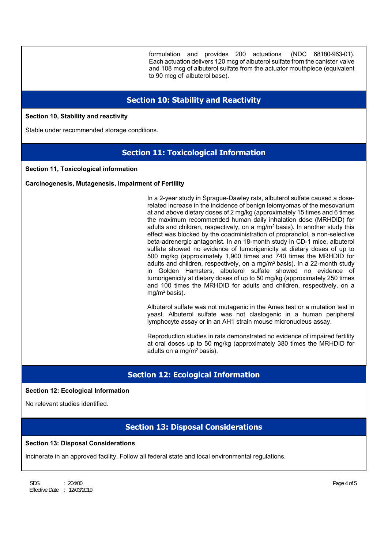formulation and provides 200 actuations (NDC 68180-963-01). Each actuation delivers 120 mcg of albuterol sulfate from the canister valve and 108 mcg of albuterol sulfate from the actuator mouthpiece (equivalent to 90 mcg of albuterol base).

# **Section 10: Stability and Reactivity**

**Section 10, Stability and reactivity**

Stable under recommended storage conditions.

# **Section 11: Toxicological Information**

**Section 11, Toxicological information** 

**Carcinogenesis, Mutagenesis, Impairment of Fertility** 

In a 2-year study in Sprague-Dawley rats, albuterol sulfate caused a doserelated increase in the incidence of benign leiomyomas of the mesovarium at and above dietary doses of 2 mg/kg (approximately 15 times and 6 times the maximum recommended human daily inhalation dose (MRHDID) for adults and children, respectively, on a mg/m2 basis). In another study this effect was blocked by the coadministration of propranolol, a non-selective beta-adrenergic antagonist. In an 18-month study in CD-1 mice, albuterol sulfate showed no evidence of tumorigenicity at dietary doses of up to 500 mg/kg (approximately 1,900 times and 740 times the MRHDID for adults and children, respectively, on a mg/m2 basis). In a 22-month study in Golden Hamsters, albuterol sulfate showed no evidence of tumorigenicity at dietary doses of up to 50 mg/kg (approximately 250 times and 100 times the MRHDID for adults and children, respectively, on a mg/m2 basis).

Albuterol sulfate was not mutagenic in the Ames test or a mutation test in yeast. Albuterol sulfate was not clastogenic in a human peripheral lymphocyte assay or in an AH1 strain mouse micronucleus assay.

Reproduction studies in rats demonstrated no evidence of impaired fertility at oral doses up to 50 mg/kg (approximately 380 times the MRHDID for adults on a mg/m2 basis).

# **Section 12: Ecological Information**

### **Section 12: Ecological Information**

No relevant studies identified.

# **Section 13: Disposal Considerations**

#### **Section 13: Disposal Considerations**

Incinerate in an approved facility. Follow all federal state and local environmental regulations.

SDS  $: 204/00$  Page 4 of 5 Effective Date : 12/03/2019